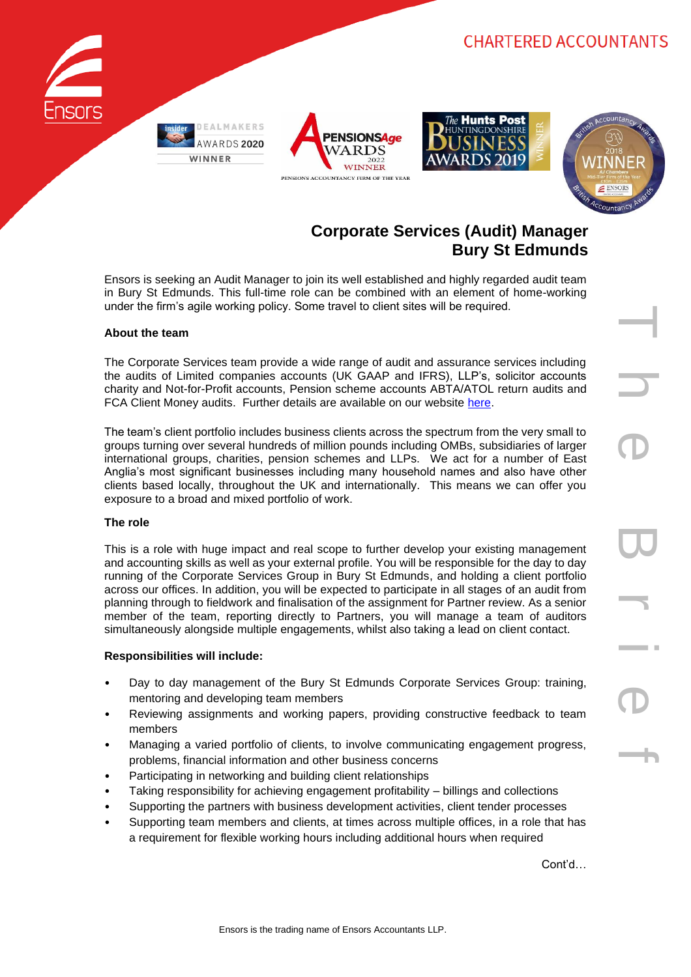







T h e B r i e f

# **Corporate Services (Audit) Manager Bury St Edmunds**

Ensors is seeking an Audit Manager to join its well established and highly regarded audit team in Bury St Edmunds. This full-time role can be combined with an element of home-working under the firm's agile working policy. Some travel to client sites will be required.

# **About the team**

The Corporate Services team provide a wide range of audit and assurance services including the audits of Limited companies accounts (UK GAAP and IFRS), LLP's, solicitor accounts charity and Not-for-Profit accounts, Pension scheme accounts ABTA/ATOL return audits and FCA Client Money audits. Further details are available on our website [here.](https://www.ensors.co.uk/what-we-do/audit-assurance/)

The team's client portfolio includes business clients across the spectrum from the very small to groups turning over several hundreds of million pounds including OMBs, subsidiaries of larger international groups, charities, pension schemes and LLPs. We act for a number of East Anglia's most significant businesses including many household names and also have other clients based locally, throughout the UK and internationally. This means we can offer you exposure to a broad and mixed portfolio of work.

#### **The role**

This is a role with huge impact and real scope to further develop your existing management and accounting skills as well as your external profile. You will be responsible for the day to day running of the Corporate Services Group in Bury St Edmunds, and holding a client portfolio across our offices. In addition, you will be expected to participate in all stages of an audit from planning through to fieldwork and finalisation of the assignment for Partner review. As a senior member of the team, reporting directly to Partners, you will manage a team of auditors simultaneously alongside multiple engagements, whilst also taking a lead on client contact.

#### **Responsibilities will include:**

- Day to day management of the Bury St Edmunds Corporate Services Group: training, mentoring and developing team members
- Reviewing assignments and working papers, providing constructive feedback to team members
- Managing a varied portfolio of clients, to involve communicating engagement progress, problems, financial information and other business concerns
- Participating in networking and building client relationships
- Taking responsibility for achieving engagement profitability billings and collections
- Supporting the partners with business development activities, client tender processes
- Supporting team members and clients, at times across multiple offices, in a role that has a requirement for flexible working hours including additional hours when required

Cont'd…